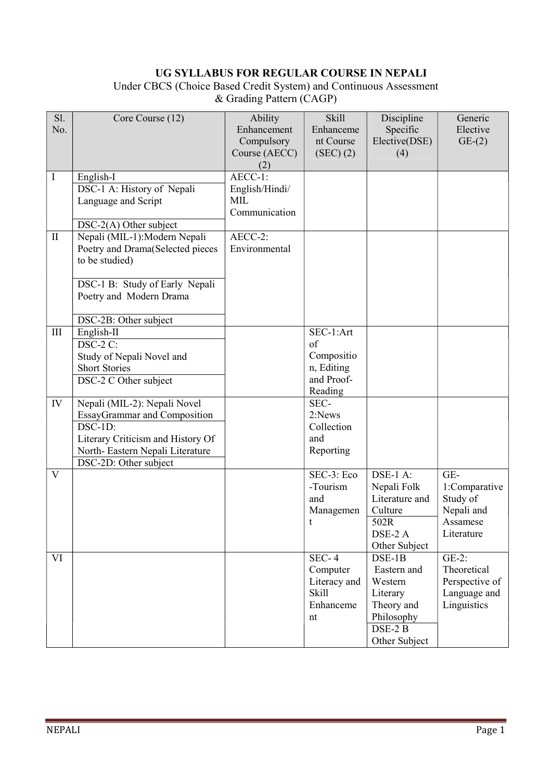# UG SYLLABUS FOR REGULAR COURSE IN NEPALI

Under CBCS (Choice Based Credit System) and Continuous Assessment & Grading Pattern (CAGP)

| Sl.                | Core Course (12)                                          | Ability                   | <b>Skill</b>                   | Discipline                    | Generic                 |
|--------------------|-----------------------------------------------------------|---------------------------|--------------------------------|-------------------------------|-------------------------|
| No.                |                                                           | Enhancement<br>Compulsory | Enhanceme<br>nt Course         | Specific<br>Elective(DSE)     | Elective<br>$GE-(2)$    |
|                    |                                                           | Course (AECC)             | (SEC) (2)                      | (4)                           |                         |
|                    |                                                           | (2)                       |                                |                               |                         |
| I                  | English-I                                                 | AECC-1:                   |                                |                               |                         |
|                    | DSC-1 A: History of Nepali                                | English/Hindi/<br>MIL     |                                |                               |                         |
|                    | Language and Script                                       | Communication             |                                |                               |                         |
|                    | $DSC-2(A)$ Other subject                                  |                           |                                |                               |                         |
| $\mathbf{I}$       | Nepali (MIL-1): Modern Nepali                             | AECC-2:                   |                                |                               |                         |
|                    | Poetry and Drama(Selected pieces                          | Environmental             |                                |                               |                         |
|                    | to be studied)                                            |                           |                                |                               |                         |
|                    |                                                           |                           |                                |                               |                         |
|                    | DSC-1 B: Study of Early Nepali<br>Poetry and Modern Drama |                           |                                |                               |                         |
|                    |                                                           |                           |                                |                               |                         |
|                    | DSC-2B: Other subject                                     |                           |                                |                               |                         |
| $\mathop{\rm III}$ | English-II                                                |                           | SEC-1:Art                      |                               |                         |
|                    | $DSC-2C$ :                                                |                           | of                             |                               |                         |
|                    | Study of Nepali Novel and                                 |                           | Compositio                     |                               |                         |
|                    | <b>Short Stories</b>                                      |                           | n, Editing<br>and Proof-       |                               |                         |
|                    | DSC-2 C Other subject                                     |                           | Reading                        |                               |                         |
| IV                 | Nepali (MIL-2): Nepali Novel                              |                           | SEC-                           |                               |                         |
|                    | EssayGrammar and Composition                              |                           | 2:News                         |                               |                         |
|                    | $DSC-1D:$                                                 |                           | Collection                     |                               |                         |
|                    | Literary Criticism and History Of                         |                           | and                            |                               |                         |
|                    | North-Eastern Nepali Literature                           |                           | Reporting                      |                               |                         |
| $\mathbf{V}$       | DSC-2D: Other subject                                     |                           | $\overline{\text{SEC-3: Eco}}$ | $\overline{\text{DSE-1 A}}$ : | $GE-$                   |
|                    |                                                           |                           | -Tourism                       | Nepali Folk                   | 1:Comparative           |
|                    |                                                           |                           | and                            | Literature and                | Study of                |
|                    |                                                           |                           | Managemen                      | Culture                       | Nepali and              |
|                    |                                                           |                           | t.                             | 502R                          | Assamese                |
|                    |                                                           |                           |                                | DSE-2 A                       | Literature              |
|                    |                                                           |                           |                                | Other Subject                 |                         |
| VI                 |                                                           |                           | $SEC-4$<br>Computer            | $DSE-1B$<br>Eastern and       | $GE-2$ :<br>Theoretical |
|                    |                                                           |                           | Literacy and                   | Western                       | Perspective of          |
|                    |                                                           |                           | <b>Skill</b>                   | Literary                      | Language and            |
|                    |                                                           |                           | Enhanceme                      | Theory and                    | Linguistics             |
|                    |                                                           |                           | nt                             | Philosophy                    |                         |
|                    |                                                           |                           |                                | DSE-2 B                       |                         |
|                    |                                                           |                           |                                | Other Subject                 |                         |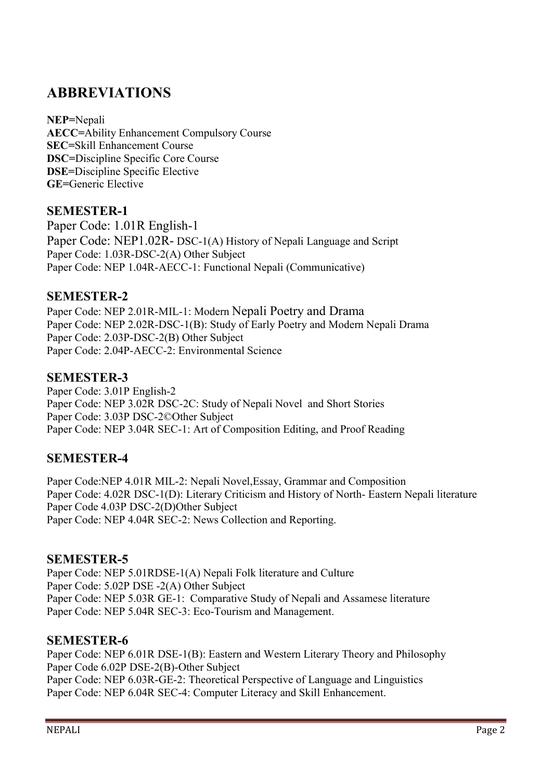# ABBREVIATIONS

NEP=Nepali AECC=Ability Enhancement Compulsory Course SEC=Skill Enhancement Course DSC=Discipline Specific Core Course DSE=Discipline Specific Elective GE=Generic Elective

## SEMESTER-1

Paper Code: 1.01R English-1 Paper Code: NEP1.02R- DSC-1(A) History of Nepali Language and Script Paper Code: 1.03R-DSC-2(A) Other Subject Paper Code: NEP 1.04R-AECC-1: Functional Nepali (Communicative)

## SEMESTER-2

Paper Code: NEP 2.01R-MIL-1: Modern Nepali Poetry and Drama Paper Code: NEP 2.02R-DSC-1(B): Study of Early Poetry and Modern Nepali Drama Paper Code: 2.03P-DSC-2(B) Other Subject Paper Code: 2.04P-AECC-2: Environmental Science

## SEMESTER-3

Paper Code: 3.01P English-2 Paper Code: NEP 3.02R DSC-2C: Study of Nepali Novel and Short Stories Paper Code: 3.03P DSC-2©Other Subject Paper Code: NEP 3.04R SEC-1: Art of Composition Editing, and Proof Reading

# SEMESTER-4

Paper Code:NEP 4.01R MIL-2: Nepali Novel,Essay, Grammar and Composition Paper Code: 4.02R DSC-1(D): Literary Criticism and History of North- Eastern Nepali literature Paper Code 4.03P DSC-2(D)Other Subject Paper Code: NEP 4.04R SEC-2: News Collection and Reporting.

## SEMESTER-5

Paper Code: NEP 5.01RDSE-1(A) Nepali Folk literature and Culture Paper Code: 5.02P DSE -2(A) Other Subject Paper Code: NEP 5.03R GE-1: Comparative Study of Nepali and Assamese literature Paper Code: NEP 5.04R SEC-3: Eco-Tourism and Management.

## SEMESTER-6

Paper Code: NEP 6.01R DSE-1(B): Eastern and Western Literary Theory and Philosophy Paper Code 6.02P DSE-2(B)-Other Subject Paper Code: NEP 6.03R-GE-2: Theoretical Perspective of Language and Linguistics Paper Code: NEP 6.04R SEC-4: Computer Literacy and Skill Enhancement.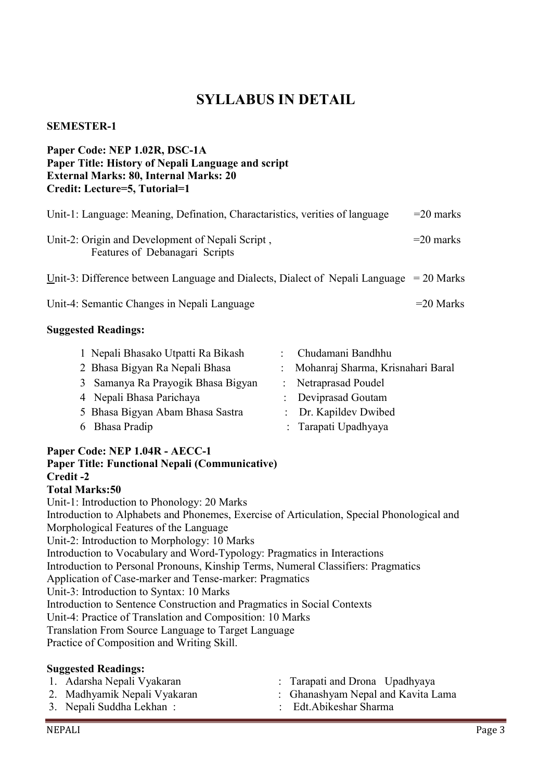# SYLLABUS IN DETAIL

### SEMESTER-1

## Paper Code: NEP 1.02R, DSC-1A Paper Title: History of Nepali Language and script External Marks: 80, Internal Marks: 20 Credit: Lecture=5, Tutorial=1

| Unit-1: Language: Meaning, Defination, Charactaristics, verities of language              | $=$ 20 marks |
|-------------------------------------------------------------------------------------------|--------------|
| Unit-2: Origin and Development of Nepali Script,<br>Features of Debanagari Scripts        | $=$ 20 marks |
| Unit-3: Difference between Language and Dialects, Dialect of Nepali Language $= 20$ Marks |              |
| Unit-4: Semantic Changes in Nepali Language                                               | $=$ 20 Marks |

#### Suggested Readings:

| 1 Nepali Bhasako Utpatti Ra Bikash | : Chudamani Bandhhu                 |
|------------------------------------|-------------------------------------|
| 2 Bhasa Bigyan Ra Nepali Bhasa     | : Mohanraj Sharma, Krisnahari Baral |
| 3 Samanya Ra Prayogik Bhasa Bigyan | : Netraprasad Poudel                |
| 4 Nepali Bhasa Parichaya           | : Deviprasad Goutam                 |
| 5 Bhasa Bigyan Abam Bhasa Sastra   | : Dr. Kapildev Dwibed               |
| 6 Bhasa Pradip                     | : Tarapati Upadhyaya                |

#### Paper Code: NEP 1.04R - AECC-1

# Paper Title: Functional Nepali (Communicative) Credit -2

Total Marks:50

Unit-1: Introduction to Phonology: 20 Marks Introduction to Alphabets and Phonemes, Exercise of Articulation, Special Phonological and Morphological Features of the Language Unit-2: Introduction to Morphology: 10 Marks Introduction to Vocabulary and Word-Typology: Pragmatics in Interactions Introduction to Personal Pronouns, Kinship Terms, Numeral Classifiers: Pragmatics Application of Case-marker and Tense-marker: Pragmatics Unit-3: Introduction to Syntax: 10 Marks Introduction to Sentence Construction and Pragmatics in Social Contexts Unit-4: Practice of Translation and Composition: 10 Marks Translation From Source Language to Target Language Practice of Composition and Writing Skill.

#### Suggested Readings:

| 1. Adarsha Nepali Vyakaran   | : Tarapati and Drona Upadhyaya     |
|------------------------------|------------------------------------|
| 2. Madhyamik Nepali Vyakaran | : Ghanashyam Nepal and Kavita Lama |
| 3. Nepali Suddha Lekhan:     | : Edt.Abikeshar Sharma             |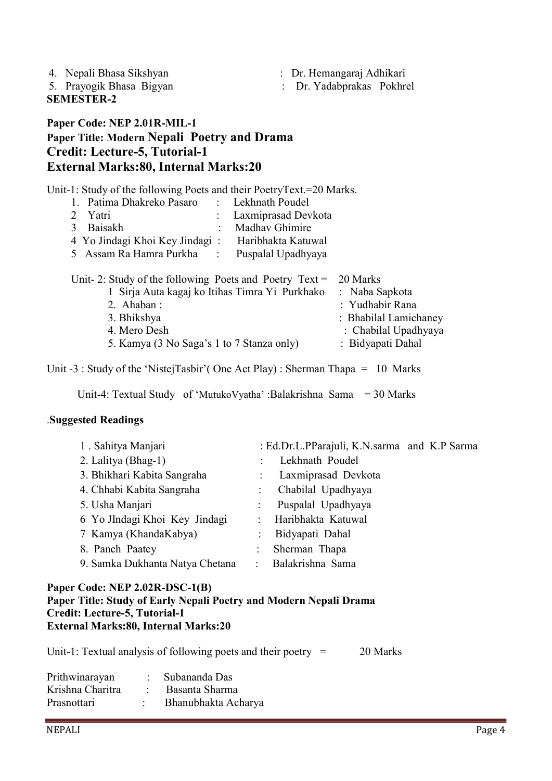| 4. Nepali Bhasa Sikshyan |  |
|--------------------------|--|
|--------------------------|--|

: Dr. Hemangaraj Adhikari

SEMESTER-2

5. Prayogik Bhasa Bigyan : Dr. Yadabprakas Pokhrel

# Paper Code: NEP 2.01R-MIL-1 Paper Title: Modern Nepali Poetry and Drama Credit: Lecture-5, Tutorial-1 External Marks:80, Internal Marks:20

Unit-1: Study of the following Poets and their PoetryText.=20 Marks.

| 1. Patima Dhakreko Pasaro      | : Lekhnath Poudel     |
|--------------------------------|-----------------------|
| 2 Yatri                        | : Laxmiprasad Devkota |
| 3 Baisakh                      | : Madhav Ghimire      |
| 4 Yo Jindagi Khoi Key Jindagi: | Haribhakta Katuwal    |
| 5 Assam Ra Hamra Purkha :      | Puspalal Upadhyaya    |
|                                |                       |

| Unit- 2: Study of the following Poets and Poetry $Text = 20$ Marks |                       |
|--------------------------------------------------------------------|-----------------------|
| 1 Sirja Auta kagaj ko Itihas Timra Yi Purkhako : Naba Sapkota      |                       |
| 2. Ahaban :                                                        | : Yudhabir Rana       |
| 3. Bhikshya                                                        | : Bhabilal Lamichaney |
| 4. Mero Desh                                                       | : Chabilal Upadhyaya  |
| 5. Kamya (3 No Saga's 1 to 7 Stanza only)                          | : Bidyapati Dahal     |

Unit -3 : Study of the 'NistejTasbir'( One Act Play) : Sherman Thapa = 10 Marks

Unit-4: Textual Study of 'MutukoVyatha' :Balakrishna Sama = 30 Marks

## .Suggested Readings

| 1. Sahitya Manjari              |                | : Ed.Dr.L.PParajuli, K.N.sarma and K.P Sarma |
|---------------------------------|----------------|----------------------------------------------|
| 2. Lalitya (Bhag-1)             |                | Lekhnath Poudel                              |
| 3. Bhikhari Kabita Sangraha     |                | : Laxmiprasad Devkota                        |
| 4. Chhabi Kabita Sangraha       |                | Chabilal Upadhyaya                           |
| 5. Usha Manjari                 |                | Puspalal Upadhyaya                           |
| 6 Yo JIndagi Khoi Key Jindagi   | $\mathcal{L}$  | Haribhakta Katuwal                           |
| 7 Kamya (KhandaKabya)           |                | Bidyapati Dahal                              |
| 8. Panch Paatey                 | $\ddot{\cdot}$ | Sherman Thapa                                |
| 9. Samka Dukhanta Natya Chetana |                | Balakrishna Sama                             |

#### Paper Code: NEP 2.02R-DSC-1(B) Paper Title: Study of Early Nepali Poetry and Modern Nepali Drama Credit: Lecture-5, Tutorial-1 External Marks:80, Internal Marks:20

Unit-1: Textual analysis of following poets and their poetry  $=$  20 Marks

| Prithwinarayan   | Subananda Das       |
|------------------|---------------------|
| Krishna Charitra | Basanta Sharma      |
| Prasnottari      | Bhanubhakta Acharya |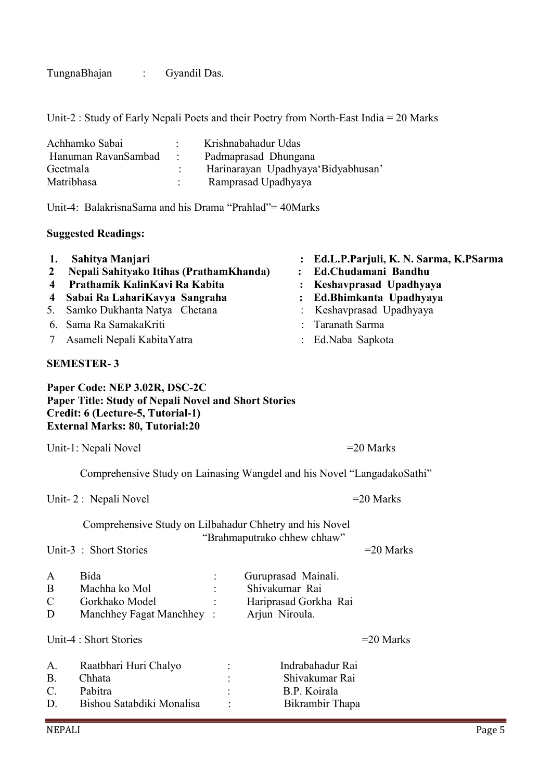TungnaBhajan : Gyandil Das.

Unit-2 : Study of Early Nepali Poets and their Poetry from North-East India = 20 Marks

| Achhamko Sabai      |                   | Krishnabahadur Udas                |  |  |
|---------------------|-------------------|------------------------------------|--|--|
| Hanuman RavanSambad | <b>Contractor</b> | Padmaprasad Dhungana               |  |  |
| Geetmala            |                   | Harinarayan Upadhyaya Bidyabhusan' |  |  |
| Matribhasa          |                   | Ramprasad Upadhyaya                |  |  |

Unit-4: BalakrisnaSama and his Drama "Prahlad"= 40Marks

## Suggested Readings:

| 1.<br>$\mathbf{2}$<br>4<br>4 | Sahitya Manjari<br>Nepali Sahityako Itihas (PrathamKhanda)<br>Prathamik KalinKavi Ra Kabita<br>Sabai Ra LahariKavya Sangraha                                         | $\ddot{\cdot}$<br>$\ddot{\cdot}$ | Ed.L.P.Parjuli, K. N. Sarma, K.PSarma<br>Ed.Chudamani Bandhu<br>Keshavprasad Upadhyaya<br>Ed.Bhimkanta Upadhyaya |
|------------------------------|----------------------------------------------------------------------------------------------------------------------------------------------------------------------|----------------------------------|------------------------------------------------------------------------------------------------------------------|
| 5.                           | Samko Dukhanta Natya Chetana                                                                                                                                         |                                  | Keshavprasad Upadhyaya                                                                                           |
| 6.                           | Sama Ra SamakaKriti                                                                                                                                                  |                                  | Taranath Sarma                                                                                                   |
| 7                            | Asameli Nepali KabitaYatra                                                                                                                                           |                                  | Ed.Naba Sapkota                                                                                                  |
|                              | <b>SEMESTER-3</b>                                                                                                                                                    |                                  |                                                                                                                  |
|                              | Paper Code: NEP 3.02R, DSC-2C<br>Paper Title: Study of Nepali Novel and Short Stories<br>Credit: 6 (Lecture-5, Tutorial-1)<br><b>External Marks: 80, Tutorial:20</b> |                                  |                                                                                                                  |
|                              | Unit-1: Nepali Novel                                                                                                                                                 |                                  | $=20$ Marks                                                                                                      |
|                              | Comprehensive Study on Lainasing Wangdel and his Novel "LangadakoSathi"                                                                                              |                                  |                                                                                                                  |
|                              | Unit-2 : Nepali Novel                                                                                                                                                |                                  | $=20$ Marks                                                                                                      |
|                              | Comprehensive Study on Lilbahadur Chhetry and his Novel<br>"Brahmaputrako chhew chhaw"                                                                               |                                  |                                                                                                                  |
|                              | Unit-3: Short Stories                                                                                                                                                |                                  | $=20$ Marks                                                                                                      |
| A                            | Bida<br>Guruprasad Mainali.                                                                                                                                          |                                  |                                                                                                                  |

| $\mathbf{A}$ | Diua                     | Guruprasau Maman.     |
|--------------|--------------------------|-----------------------|
| B            | Machha ko Mol            | Shivakumar Rai        |
| C.           | Gorkhako Model           | Hariprasad Gorkha Rai |
| D            | Manchhey Fagat Manchhey: | Arjun Niroula.        |
|              |                          |                       |

Unit-4 : Short Stories  $=20$  Marks

| A.<br>$\mathbf{B}$ | Raatbhari Huri Chalyo<br>Chhata |           | Indrabahadur Rai<br>Shivakumar Rai |
|--------------------|---------------------------------|-----------|------------------------------------|
| $\mathcal{C}$      | Pabitra                         | ٠         | B.P. Koirala                       |
| D                  | Bishou Satabdiki Monalisa       | $\bullet$ | Bikrambir Thapa                    |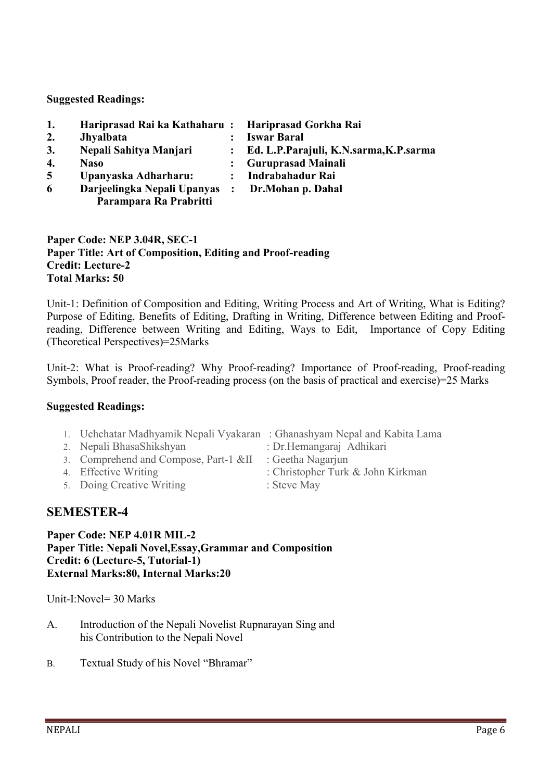Suggested Readings:

| 1.             | Hariprasad Rai ka Kathaharu: Hariprasad Gorkha Rai |                |                                          |
|----------------|----------------------------------------------------|----------------|------------------------------------------|
| 2.             | <b>Jhyalbata</b>                                   |                | <b>Iswar Baral</b>                       |
| 3.             | Nepali Sahitya Manjari                             |                | : Ed. L.P.Parajuli, K.N.sarma, K.P.sarma |
| 4.             | <b>Naso</b>                                        |                | <b>Guruprasad Mainali</b>                |
| $\overline{5}$ | Upanyaska Adharharu:                               | $\ddot{\cdot}$ | Indrabahadur Rai                         |
| 6              | Darjeelingka Nepali Upanyas :                      |                | Dr.Mohan p. Dahal                        |
|                | Parampara Ra Prabritti                             |                |                                          |

## Paper Code: NEP 3.04R, SEC-1 Paper Title: Art of Composition, Editing and Proof-reading Credit: Lecture-2 Total Marks: 50

Unit-1: Definition of Composition and Editing, Writing Process and Art of Writing, What is Editing? Purpose of Editing, Benefits of Editing, Drafting in Writing, Difference between Editing and Proofreading, Difference between Writing and Editing, Ways to Edit, Importance of Copy Editing (Theoretical Perspectives)=25Marks

Unit-2: What is Proof-reading? Why Proof-reading? Importance of Proof-reading, Proof-reading Symbols, Proof reader, the Proof-reading process (on the basis of practical and exercise)=25 Marks

## Suggested Readings:

- 1. Uchchatar Madhyamik Nepali Vyakaran : Ghanashyam Nepal and Kabita Lama
- 2. Nepali BhasaShikshyan : Dr.Hemangaraj Adhikari
- 3. Comprehend and Compose, Part-1 &II : Geetha Nagarjun
- 
- 5. Doing Creative Writing : Steve May
- 
- 
- 4. Effective Writing : Christopher Turk & John Kirkman
	-

# SEMESTER-4

#### Paper Code: NEP 4.01R MIL-2 Paper Title: Nepali Novel,Essay,Grammar and Composition Credit: 6 (Lecture-5, Tutorial-1) External Marks:80, Internal Marks:20

Unit-I:Novel= 30 Marks

- A. Introduction of the Nepali Novelist Rupnarayan Sing and his Contribution to the Nepali Novel
- B. Textual Study of his Novel "Bhramar"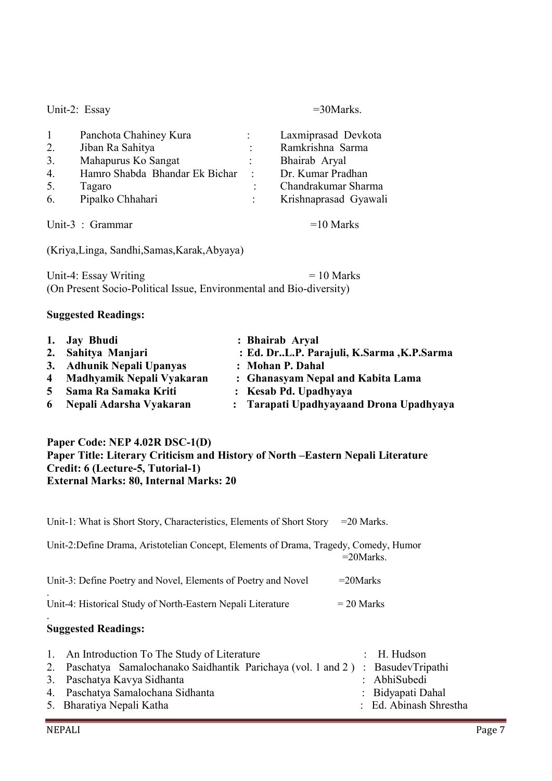Unit-2: Essay =30Marks.

| $\mathbf{1}$ | Panchota Chahiney Kura         |                | Laxmiprasad Devkota   |
|--------------|--------------------------------|----------------|-----------------------|
|              |                                |                |                       |
| 2.           | Jiban Ra Sahitya               |                | Ramkrishna Sarma      |
| 3.           | Mahapurus Ko Sangat            | $\ddot{\cdot}$ | Bhairab Aryal         |
| 4.           | Hamro Shabda Bhandar Ek Bichar | $\sim$ 1.      | Dr. Kumar Pradhan     |
| 5.           | Tagaro                         | $\ddot{\cdot}$ | Chandrakumar Sharma   |
| 6.           | Pipalko Chhahari               |                | Krishnaprasad Gyawali |
|              |                                |                |                       |
|              | Unit-3 : Grammar               |                | $=10$ Marks           |

(Kriya,Linga, Sandhi,Samas,Karak,Abyaya)

Unit-4: Essay Writing  $= 10$  Marks (On Present Socio-Political Issue, Environmental and Bio-diversity)

#### Suggested Readings:

| 1. Jay Bhudi                | : Bhairab Aryal                            |
|-----------------------------|--------------------------------------------|
| 2. Sahitya Manjari          | : Ed. DrL.P. Parajuli, K.Sarma , K.P.Sarma |
| 3. Adhunik Nepali Upanyas   | : Mohan P. Dahal                           |
| 4 Madhyamik Nepali Vyakaran | : Ghanasyam Nepal and Kabita Lama          |
| 5 Sama Ra Samaka Kriti      | : Kesab Pd. Upadhyaya                      |
| 6 Nepali Adarsha Vyakaran   | : Tarapati Upadhyayaand Drona Upadhyaya    |

#### Paper Code: NEP 4.02R DSC-1(D) Paper Title: Literary Criticism and History of North –Eastern Nepali Literature Credit: 6 (Lecture-5, Tutorial-1) External Marks: 80, Internal Marks: 20

Unit-1: What is Short Story, Characteristics, Elements of Short Story = 20 Marks. Unit-2:Define Drama, Aristotelian Concept, Elements of Drama, Tragedy, Comedy, Humor  $=20$ Marks. Unit-3: Define Poetry and Novel, Elements of Poetry and Novel =20Marks . Unit-4: Historical Study of North-Eastern Nepali Literature  $= 20$  Marks .

## Suggested Readings:

| 1. An Introduction To The Study of Literature                                    | $\therefore$ H. Hudson |
|----------------------------------------------------------------------------------|------------------------|
| 2. Paschatya Samalochanako Saidhantik Parichaya (vol. 1 and 2) : BasudevTripathi |                        |
| 3. Paschatya Kavya Sidhanta                                                      | : AbhiSubedi           |
| 4. Paschatya Samalochana Sidhanta                                                | : Bidyapati Dahal      |
| 5. Bharatiya Nepali Katha                                                        | : Ed. Abinash Shrestha |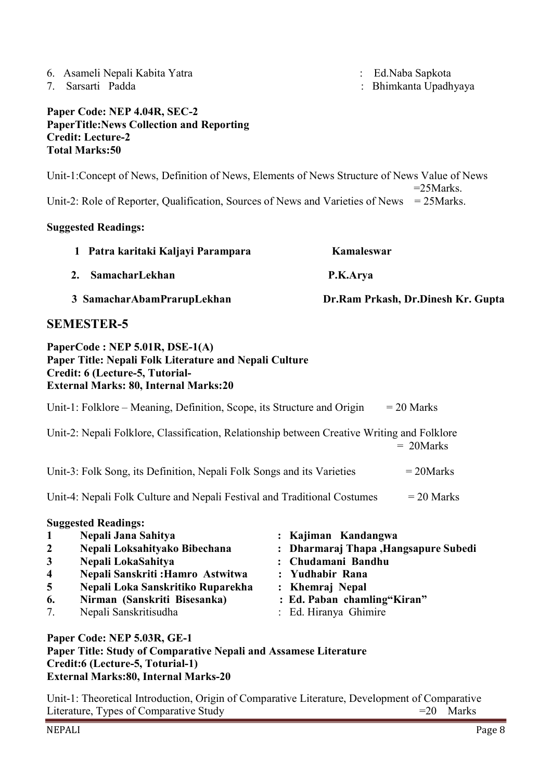- 6. Asameli Nepali Kabita Yatra : Ed.Naba Sapkota
- 

7. Sarsarti Padda : Bhimkanta Upadhyaya

## Paper Code: NEP 4.04R, SEC-2 PaperTitle:News Collection and Reporting Credit: Lecture-2 Total Marks:50

Unit-1:Concept of News, Definition of News, Elements of News Structure of News Value of News  $=25$ Marks.

Unit-2: Role of Reporter, Qualification, Sources of News and Varieties of News = 25Marks.

## Suggested Readings:

| 1 Patra karitaki Kaljayi Parampara | Kamaleswar                         |
|------------------------------------|------------------------------------|
| 2. SamacharLekhan                  | P.K.Arya                           |
| 3 SamacharAbamPrarupLekhan         | Dr.Ram Prkash, Dr.Dinesh Kr. Gupta |

# SEMESTER-5

## PaperCode : NEP 5.01R, DSE-1(A) Paper Title: Nepali Folk Literature and Nepali Culture Credit: 6 (Lecture-5, Tutorial-External Marks: 80, Internal Marks:20

|                                                                                          | Unit-1: Folklore – Meaning, Definition, Scope, its Structure and Origin<br>$= 20$ Marks                                                                                            |                                                                                                                         |  |  |  |
|------------------------------------------------------------------------------------------|------------------------------------------------------------------------------------------------------------------------------------------------------------------------------------|-------------------------------------------------------------------------------------------------------------------------|--|--|--|
|                                                                                          | Unit-2: Nepali Folklore, Classification, Relationship between Creative Writing and Folklore<br>$= 20$ Marks                                                                        |                                                                                                                         |  |  |  |
| Unit-3: Folk Song, its Definition, Nepali Folk Songs and its Varieties<br>$= 20$ Marks   |                                                                                                                                                                                    |                                                                                                                         |  |  |  |
| Unit-4: Nepali Folk Culture and Nepali Festival and Traditional Costumes<br>$= 20$ Marks |                                                                                                                                                                                    |                                                                                                                         |  |  |  |
| $\mathbf{1}$<br>$\boldsymbol{2}$<br>$\mathbf{3}$<br>$\overline{\mathbf{4}}$<br>5         | <b>Suggested Readings:</b><br>Nepali Jana Sahitya<br>Nepali Loksahityako Bibechana<br>Nepali LokaSahitya<br>Nepali Sanskriti : Hamro Astwitwa<br>Nepali Loka Sanskritiko Ruparekha | : Kajiman Kandangwa<br>: Dharmaraj Thapa, Hangsapure Subedi<br>: Chudamani Bandhu<br>: Yudhabir Rana<br>: Khemraj Nepal |  |  |  |
| 6.<br>7.                                                                                 | Nirman (Sanskriti Bisesanka)<br>Nepali Sanskritisudha                                                                                                                              | : Ed. Paban chamling"Kiran"<br>: Ed. Hiranya Ghimire                                                                    |  |  |  |
|                                                                                          | Paper Code: NEP 5.03R, GE-1                                                                                                                                                        |                                                                                                                         |  |  |  |

Paper Title: Study of Comparative Nepali and Assamese Literature Credit:6 (Lecture-5, Toturial-1) External Marks:80, Internal Marks-20

Unit-1: Theoretical Introduction, Origin of Comparative Literature, Development of Comparative Literature, Types of Comparative Study =20 Marks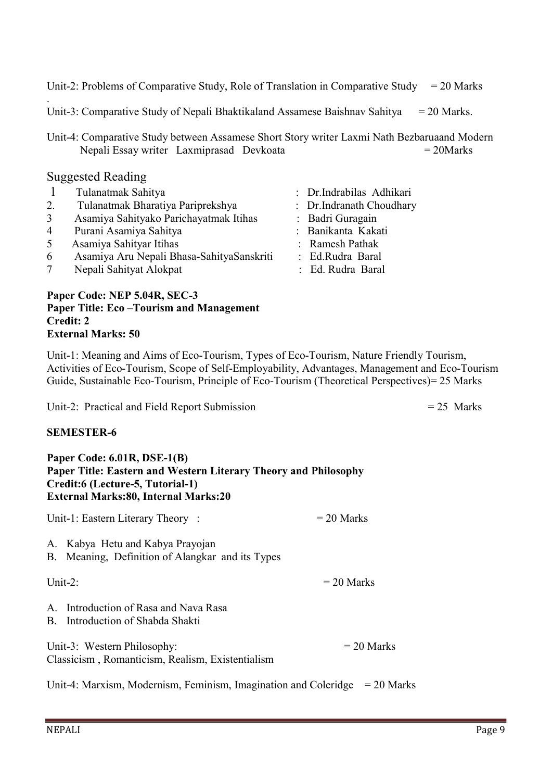Unit-2: Problems of Comparative Study, Role of Translation in Comparative Study =  $20$  Marks

Unit-3: Comparative Study of Nepali Bhaktikaland Assamese Baishnav Sahitya  $= 20$  Marks.

Unit-4: Comparative Study between Assamese Short Story writer Laxmi Nath Bezbaruaand Modern Nepali Essay writer Laxmiprasad Devkoata = 20Marks

## Suggested Reading

.

|                | Tulanatmak Sahitya                                                                                                                                    | : Dr.Indrabilas Adhikari                                                                                                                                                                                                                                                                                                                                                                                                                                                                   |
|----------------|-------------------------------------------------------------------------------------------------------------------------------------------------------|--------------------------------------------------------------------------------------------------------------------------------------------------------------------------------------------------------------------------------------------------------------------------------------------------------------------------------------------------------------------------------------------------------------------------------------------------------------------------------------------|
| 2.             | Tulanatmak Bharatiya Pariprekshya                                                                                                                     | : Dr.Indranath Choudhary                                                                                                                                                                                                                                                                                                                                                                                                                                                                   |
| 3              | Asamiya Sahityako Parichayatmak Itihas                                                                                                                | : Badri Guragain                                                                                                                                                                                                                                                                                                                                                                                                                                                                           |
| $\overline{4}$ | Purani Asamiya Sahitya                                                                                                                                | : Banikanta Kakati                                                                                                                                                                                                                                                                                                                                                                                                                                                                         |
| 5              | Asamiya Sahityar Itihas                                                                                                                               | : Ramesh Pathak                                                                                                                                                                                                                                                                                                                                                                                                                                                                            |
| 6              | Asamiya Aru Nepali Bhasa-SahityaSanskriti                                                                                                             | : Ed.Rudra Baral                                                                                                                                                                                                                                                                                                                                                                                                                                                                           |
|                | $\mathbf{N}$ <sub>an</sub> 1. $\mathbf{C}$ $\mathbf{L}$ is $\mathbf{L}$ $\mathbf{L}$ $\mathbf{L}$ $\mathbf{L}$ $\mathbf{L}$ $\mathbf{L}$ $\mathbf{L}$ | $\blacksquare$ $\blacksquare$ $\blacksquare$ $\blacksquare$ $\blacksquare$ $\blacksquare$ $\blacksquare$ $\blacksquare$ $\blacksquare$ $\blacksquare$ $\blacksquare$ $\blacksquare$ $\blacksquare$ $\blacksquare$ $\blacksquare$ $\blacksquare$ $\blacksquare$ $\blacksquare$ $\blacksquare$ $\blacksquare$ $\blacksquare$ $\blacksquare$ $\blacksquare$ $\blacksquare$ $\blacksquare$ $\blacksquare$ $\blacksquare$ $\blacksquare$ $\blacksquare$ $\blacksquare$ $\blacksquare$ $\blacks$ |

- 7 Nepali Sahityat Alokpat : Ed. Rudra Baral
	-

#### Paper Code: NEP 5.04R, SEC-3 Paper Title: Eco –Tourism and Management Credit: 2 External Marks: 50

Unit-1: Meaning and Aims of Eco-Tourism, Types of Eco-Tourism, Nature Friendly Tourism, Activities of Eco-Tourism, Scope of Self-Employability, Advantages, Management and Eco-Tourism Guide, Sustainable Eco-Tourism, Principle of Eco-Tourism (Theoretical Perspectives)= 25 Marks

Unit-2: Practical and Field Report Submission = 25 Marks

## SEMESTER-6

#### Paper Code: 6.01R, DSE-1(B) Paper Title: Eastern and Western Literary Theory and Philosophy Credit:6 (Lecture-5, Tutorial-1) External Marks:80, Internal Marks:20

Unit-1: Eastern Literary Theory :  $= 20$  Marks A. Kabya Hetu and Kabya Prayojan

B. Meaning, Definition of Alangkar and its Types

Unit-2:  $= 20$  Marks

A. Introduction of Rasa and Nava Rasa

B. Introduction of Shabda Shakti

Unit-3: Western Philosophy:  $= 20$  Marks Classicism , Romanticism, Realism, Existentialism

Unit-4: Marxism, Modernism, Feminism, Imagination and Coleridge  $= 20$  Marks